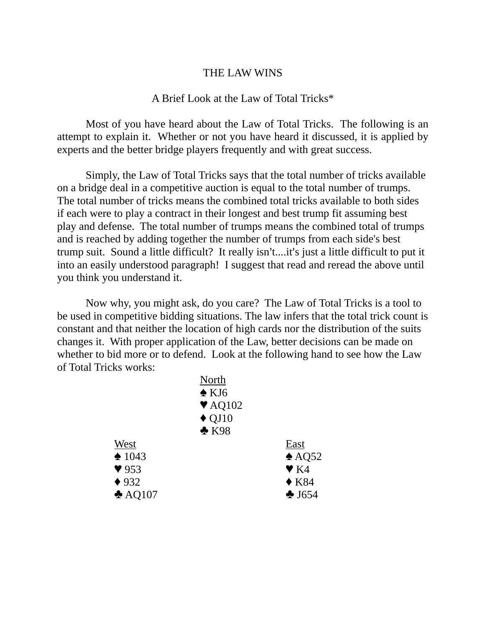## THE LAW WINS

## A Brief Look at the Law of Total Tricks\*

Most of you have heard about the Law of Total Tricks. The following is an attempt to explain it. Whether or not you have heard it discussed, it is applied by experts and the better bridge players frequently and with great success.

Simply, the Law of Total Tricks says that the total number of tricks available on a bridge deal in a competitive auction is equal to the total number of trumps. The total number of tricks means the combined total tricks available to both sides if each were to play a contract in their longest and best trump fit assuming best play and defense. The total number of trumps means the combined total of trumps and is reached by adding together the number of trumps from each side's best trump suit. Sound a little difficult? It really isn't....it's just a little difficult to put it into an easily understood paragraph! I suggest that read and reread the above until you think you understand it.

Now why, you might ask, do you care? The Law of Total Tricks is a tool to be used in competitive bidding situations. The law infers that the total trick count is constant and that neither the location of high cards nor the distribution of the suits changes it. With proper application of the Law, better decisions can be made on whether to bid more or to defend. Look at the following hand to see how the Law of Total Tricks works:

|                          | North                      |                         |
|--------------------------|----------------------------|-------------------------|
|                          | $\triangle$ KJ6            |                         |
|                          | $\blacktriangledown$ AQ102 |                         |
|                          | $\triangle$ QJ10           |                         |
|                          | $\triangle$ K98            |                         |
| West                     |                            | East                    |
| $\triangle$ 1043         |                            | $\triangle$ AQ52        |
| $\blacktriangledown$ 953 |                            | $\blacktriangledown$ K4 |
| $\blacklozenge$ 932      |                            | $\triangle$ K84         |
| $\triangle$ AQ107        |                            | $\triangle$ J654        |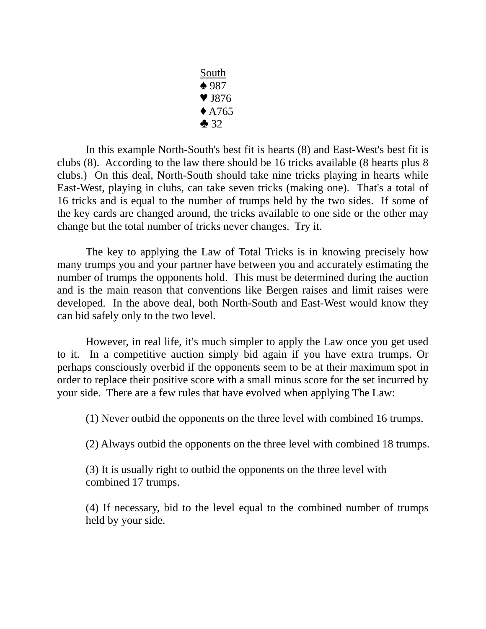South  $\triangle$  987  $\blacktriangledown$  J876  $\triangle$  A765  $-32$ 

In this example North-South's best fit is hearts (8) and East-West's best fit is clubs (8). According to the law there should be 16 tricks available (8 hearts plus 8 clubs.) On this deal, North-South should take nine tricks playing in hearts while East-West, playing in clubs, can take seven tricks (making one). That's a total of 16 tricks and is equal to the number of trumps held by the two sides. If some of the key cards are changed around, the tricks available to one side or the other may change but the total number of tricks never changes. Try it.

The key to applying the Law of Total Tricks is in knowing precisely how many trumps you and your partner have between you and accurately estimating the number of trumps the opponents hold. This must be determined during the auction and is the main reason that conventions like Bergen raises and limit raises were developed. In the above deal, both North-South and East-West would know they can bid safely only to the two level.

However, in real life, it's much simpler to apply the Law once you get used to it. In a competitive auction simply bid again if you have extra trumps. Or perhaps consciously overbid if the opponents seem to be at their maximum spot in order to replace their positive score with a small minus score for the set incurred by your side. There are a few rules that have evolved when applying The Law:

(1) Never outbid the opponents on the three level with combined 16 trumps.

(2) Always outbid the opponents on the three level with combined 18 trumps.

(3) It is usually right to outbid the opponents on the three level with combined 17 trumps.

(4) If necessary, bid to the level equal to the combined number of trumps held by your side.